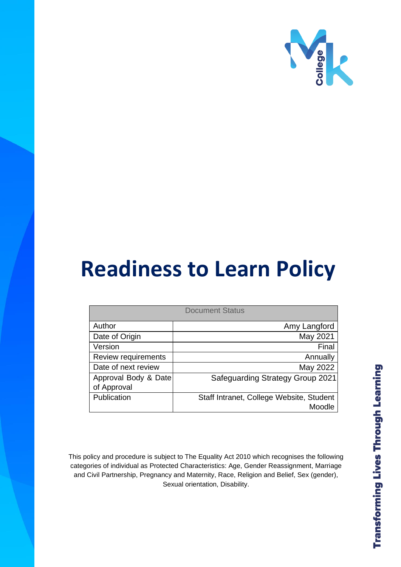

# **Readiness to Learn Policy**

| <b>Document Status</b>              |                                                    |
|-------------------------------------|----------------------------------------------------|
| Author                              | Amy Langford                                       |
| Date of Origin                      | May 2021                                           |
| Version                             | Final                                              |
| Review requirements                 | Annually                                           |
| Date of next review                 | May 2022                                           |
| Approval Body & Date<br>of Approval | <b>Safeguarding Strategy Group 2021</b>            |
| Publication                         | Staff Intranet, College Website, Student<br>Moodle |

This policy and procedure is subject to The Equality Act 2010 which recognises the following categories of individual as Protected Characteristics: Age, Gender Reassignment, Marriage and Civil Partnership, Pregnancy and Maternity, Race, Religion and Belief, Sex (gender), Sexual orientation, Disability.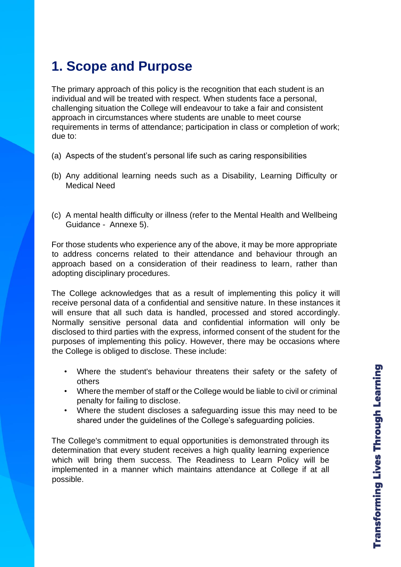# **1. Scope and Purpose**

The primary approach of this policy is the recognition that each student is an individual and will be treated with respect. When students face a personal, challenging situation the College will endeavour to take a fair and consistent approach in circumstances where students are unable to meet course requirements in terms of attendance; participation in class or completion of work; due to:

- (a) Aspects of the student's personal life such as caring responsibilities
- (b) Any additional learning needs such as a Disability, Learning Difficulty or Medical Need
- (c) A mental health difficulty or illness (refer to the Mental Health and Wellbeing Guidance - Annexe 5).

For those students who experience any of the above, it may be more appropriate to address concerns related to their attendance and behaviour through an approach based on a consideration of their readiness to learn, rather than adopting disciplinary procedures.

The College acknowledges that as a result of implementing this policy it will receive personal data of a confidential and sensitive nature. In these instances it will ensure that all such data is handled, processed and stored accordingly. Normally sensitive personal data and confidential information will only be disclosed to third parties with the express, informed consent of the student for the purposes of implementing this policy. However, there may be occasions where the College is obliged to disclose. These include:

- Where the student's behaviour threatens their safety or the safety of others
- Where the member of staff or the College would be liable to civil or criminal penalty for failing to disclose.
- Where the student discloses a safeguarding issue this may need to be shared under the guidelines of the College's safeguarding policies.

The College's commitment to equal opportunities is demonstrated through its determination that every student receives a high quality learning experience which will bring them success. The Readiness to Learn Policy will be implemented in a manner which maintains attendance at College if at all possible.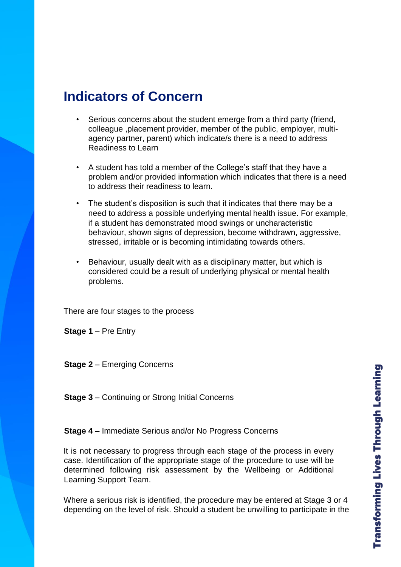### **Indicators of Concern**

- Serious concerns about the student emerge from a third party (friend, colleague ,placement provider, member of the public, employer, multiagency partner, parent) which indicate/s there is a need to address Readiness to Learn
- A student has told a member of the College's staff that they have a problem and/or provided information which indicates that there is a need to address their readiness to learn.
- The student's disposition is such that it indicates that there may be a need to address a possible underlying mental health issue. For example, if a student has demonstrated mood swings or uncharacteristic behaviour, shown signs of depression, become withdrawn, aggressive, stressed, irritable or is becoming intimidating towards others.
- Behaviour, usually dealt with as a disciplinary matter, but which is considered could be a result of underlying physical or mental health problems.

There are four stages to the process

**Stage 1** – Pre Entry

**Stage 2** – Emerging Concerns

**Stage 3** – Continuing or Strong Initial Concerns

**Stage 4** – Immediate Serious and/or No Progress Concerns

It is not necessary to progress through each stage of the process in every case. Identification of the appropriate stage of the procedure to use will be determined following risk assessment by the Wellbeing or Additional Learning Support Team.

Where a serious risk is identified, the procedure may be entered at Stage 3 or 4 depending on the level of risk. Should a student be unwilling to participate in the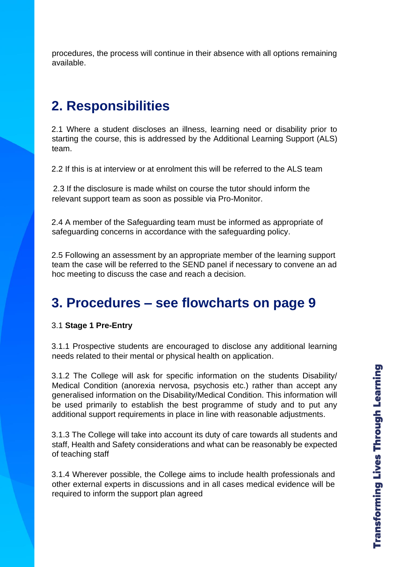procedures, the process will continue in their absence with all options remaining available.

### **2. Responsibilities**

2.1 Where a student discloses an illness, learning need or disability prior to starting the course, this is addressed by the Additional Learning Support (ALS) team.

2.2 If this is at interview or at enrolment this will be referred to the ALS team

2.3 If the disclosure is made whilst on course the tutor should inform the relevant support team as soon as possible via Pro-Monitor.

2.4 A member of the Safeguarding team must be informed as appropriate of safeguarding concerns in accordance with the safeguarding policy.

2.5 Following an assessment by an appropriate member of the learning support team the case will be referred to the SEND panel if necessary to convene an ad hoc meeting to discuss the case and reach a decision.

### **3. Procedures – see flowcharts on page 9**

#### 3.1 **Stage 1 Pre-Entry**

3.1.1 Prospective students are encouraged to disclose any additional learning needs related to their mental or physical health on application.

3.1.2 The College will ask for specific information on the students Disability/ Medical Condition (anorexia nervosa, psychosis etc.) rather than accept any generalised information on the Disability/Medical Condition. This information will be used primarily to establish the best programme of study and to put any additional support requirements in place in line with reasonable adjustments.

3.1.3 The College will take into account its duty of care towards all students and staff, Health and Safety considerations and what can be reasonably be expected of teaching staff

3.1.4 Wherever possible, the College aims to include health professionals and other external experts in discussions and in all cases medical evidence will be required to inform the support plan agreed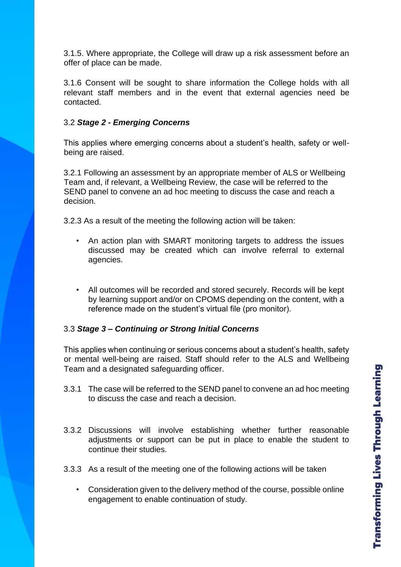3.1.5. Where appropriate, the College will draw up a risk assessment before an offer of place can be made.

3.1.6 Consent will be sought to share information the College holds with all relevant staff members and in the event that external agencies need be contacted.

#### 3.2 *Stage 2 - Emerging Concerns*

This applies where emerging concerns about a student's health, safety or wellbeing are raised.

3.2.1 Following an assessment by an appropriate member of ALS or Wellbeing Team and, if relevant, a Wellbeing Review, the case will be referred to the SEND panel to convene an ad hoc meeting to discuss the case and reach a decision.

3.2.3 As a result of the meeting the following action will be taken:

- An action plan with SMART monitoring targets to address the issues discussed may be created which can involve referral to external agencies.
- All outcomes will be recorded and stored securely. Records will be kept by learning support and/or on CPOMS depending on the content, with a reference made on the student's virtual file (pro monitor).

#### 3.3 *Stage 3 – Continuing or Strong Initial Concerns*

This applies when continuing or serious concerns about a student's health, safety or mental well-being are raised. Staff should refer to the ALS and Wellbeing Team and a designated safeguarding officer.

- 3.3.1 The case will be referred to the SEND panel to convene an ad hoc meeting to discuss the case and reach a decision.
- 3.3.2 Discussions will involve establishing whether further reasonable adjustments or support can be put in place to enable the student to continue their studies.
- 3.3.3 As a result of the meeting one of the following actions will be taken
	- Consideration given to the delivery method of the course, possible online engagement to enable continuation of study.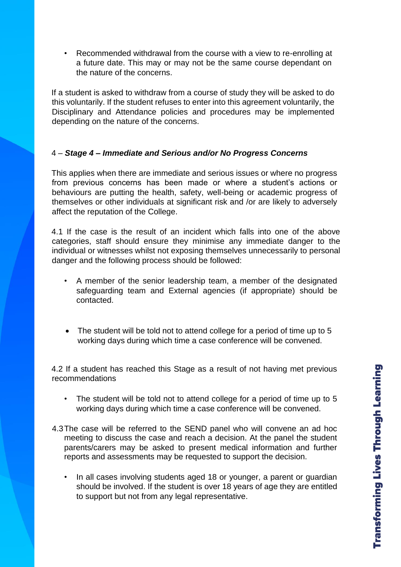• Recommended withdrawal from the course with a view to re-enrolling at a future date. This may or may not be the same course dependant on the nature of the concerns.

If a student is asked to withdraw from a course of study they will be asked to do this voluntarily. If the student refuses to enter into this agreement voluntarily, the Disciplinary and Attendance policies and procedures may be implemented depending on the nature of the concerns.

#### 4 – *Stage 4 – Immediate and Serious and/or No Progress Concerns*

This applies when there are immediate and serious issues or where no progress from previous concerns has been made or where a student's actions or behaviours are putting the health, safety, well-being or academic progress of themselves or other individuals at significant risk and /or are likely to adversely affect the reputation of the College.

4.1 If the case is the result of an incident which falls into one of the above categories, staff should ensure they minimise any immediate danger to the individual or witnesses whilst not exposing themselves unnecessarily to personal danger and the following process should be followed:

- A member of the senior leadership team, a member of the designated safeguarding team and External agencies (if appropriate) should be contacted.
- The student will be told not to attend college for a period of time up to 5 working days during which time a case conference will be convened.

4.2 If a student has reached this Stage as a result of not having met previous recommendations

- The student will be told not to attend college for a period of time up to 5 working days during which time a case conference will be convened.
- 4.3The case will be referred to the SEND panel who will convene an ad hoc meeting to discuss the case and reach a decision. At the panel the student parents/carers may be asked to present medical information and further reports and assessments may be requested to support the decision.
	- In all cases involving students aged 18 or younger, a parent or guardian should be involved. If the student is over 18 years of age they are entitled to support but not from any legal representative.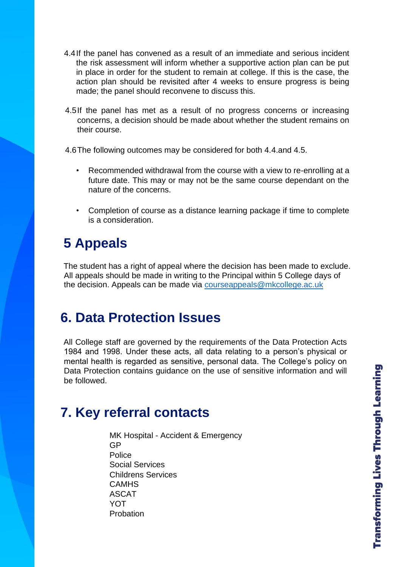- 4.4If the panel has convened as a result of an immediate and serious incident the risk assessment will inform whether a supportive action plan can be put in place in order for the student to remain at college. If this is the case, the action plan should be revisited after 4 weeks to ensure progress is being made; the panel should reconvene to discuss this.
- 4.5If the panel has met as a result of no progress concerns or increasing concerns, a decision should be made about whether the student remains on their course.

4.6The following outcomes may be considered for both 4.4.and 4.5.

- Recommended withdrawal from the course with a view to re-enrolling at a future date. This may or may not be the same course dependant on the nature of the concerns.
- Completion of course as a distance learning package if time to complete is a consideration.

# **5 Appeals**

The student has a right of appeal where the decision has been made to exclude. All appeals should be made in writing to the Principal within 5 College days of the decision. Appeals can be made via [courseappeals@mkcollege.ac.uk](mailto:courseappeals@mkcollege.ac.uk)

# **6. Data Protection Issues**

All College staff are governed by the requirements of the Data Protection Acts 1984 and 1998. Under these acts, all data relating to a person's physical or mental health is regarded as sensitive, personal data. The College's policy on Data Protection contains guidance on the use of sensitive information and will be followed.

# **7. Key referral contacts**

MK Hospital - Accident & Emergency GP Police Social Services Childrens Services CAMHS ASCAT YOT Probation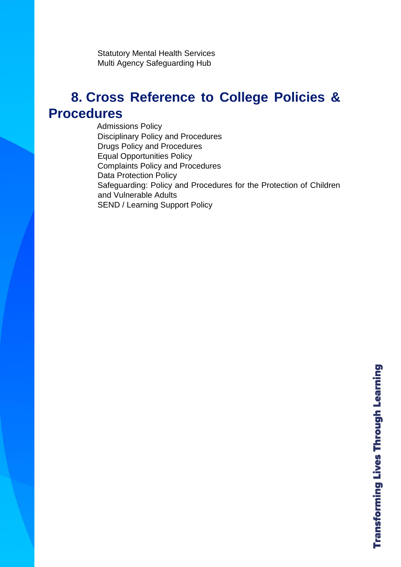Statutory Mental Health Services Multi Agency Safeguarding Hub

### **8. Cross Reference to College Policies & Procedures**

Admissions Policy Disciplinary Policy and Procedures Drugs Policy and Procedures Equal Opportunities Policy Complaints Policy and Procedures Data Protection Policy Safeguarding: Policy and Procedures for the Protection of Children and Vulnerable Adults SEND / Learning Support Policy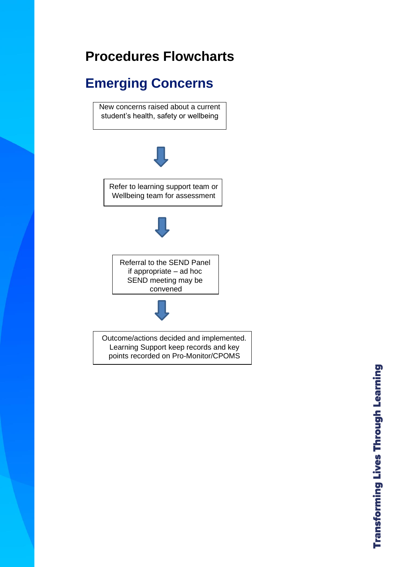# **Procedures Flowcharts**

# **Emerging Concerns**

New concerns raised about a current student's health, safety or wellbeing



Refer to learning support team or Wellbeing team for assessment



Referral to the SEND Panel if appropriate – ad hoc SEND meeting may be convened



Outcome/actions decided and implemented. Learning Support keep records and key points recorded on Pro-Monitor/CPOMS

**Transforming Lives Through Learning**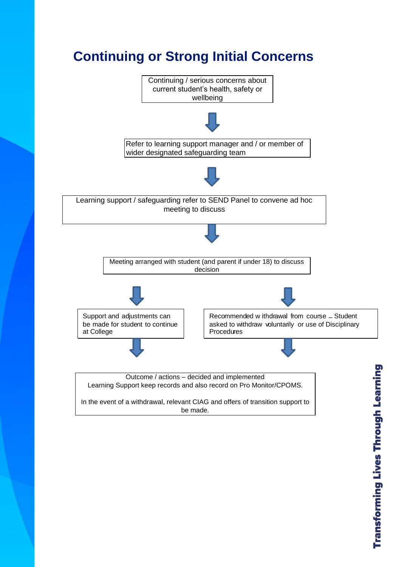# **Continuing or Strong Initial Concerns**